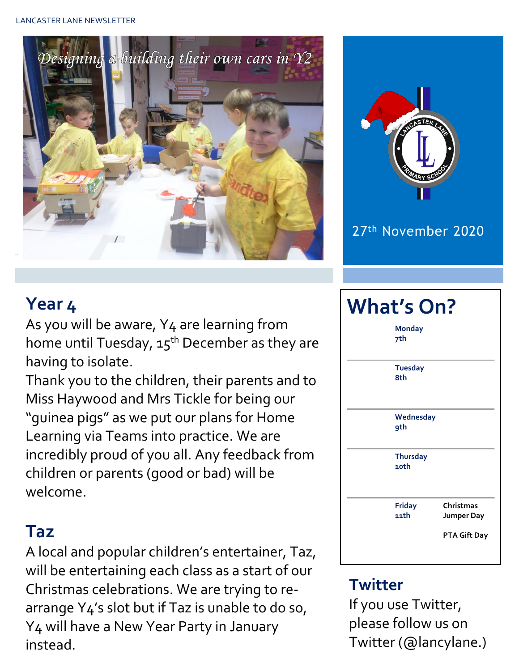



27th November 2020

## **Year 4**

As you will be aware, Y4 are learning from home until Tuesday,  $15^{th}$  December as they are having to isolate.

Thank you to the children, their parents and to Miss Haywood and Mrs Tickle for being our "guinea pigs" as we put our plans for Home Learning via Teams into practice. We are incredibly proud of you all. Any feedback from children or parents (good or bad) will be welcome.

#### **Taz**

A local and popular children's entertainer, Taz, will be entertaining each class as a start of our Christmas celebrations. We are trying to rearrange Y4's slot but if Taz is unable to do so, Y4 will have a New Year Party in January instead.



### **Twitter**

If you use Twitter, please follow us on Twitter (@lancylane.)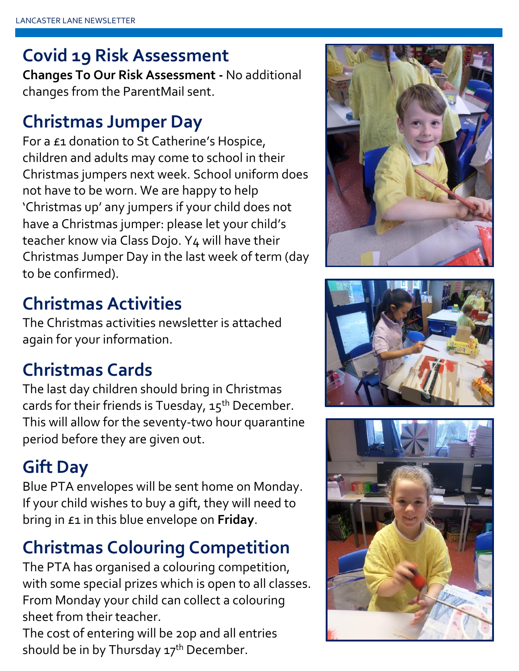## **Covid 19 Risk Assessment**

**Changes To Our Risk Assessment -** No additional changes from the ParentMail sent.

### **Christmas Jumper Day**

For a £1 donation to St Catherine's Hospice, children and adults may come to school in their Christmas jumpers next week. School uniform does not have to be worn. We are happy to help 'Christmas up' any jumpers if your child does not have a Christmas jumper: please let your child's teacher know via Class Dojo. Y4 will have their Christmas Jumper Day in the last week of term (day to be confirmed).

## **Christmas Activities**

The Christmas activities newsletter is attached again for your information.

## **Christmas Cards**

The last day children should bring in Christmas cards for their friends is Tuesday,  $15^{th}$  December. This will allow for the seventy-two hour quarantine period before they are given out.

## **Gift Day**

Blue PTA envelopes will be sent home on Monday. If your child wishes to buy a gift, they will need to bring in £1 in this blue envelope on **Friday**.

## **Christmas Colouring Competition**

The PTA has organised a colouring competition, with some special prizes which is open to all classes. From Monday your child can collect a colouring sheet from their teacher.

The cost of entering will be 20p and all entries should be in by Thursday  $17<sup>th</sup>$  December.